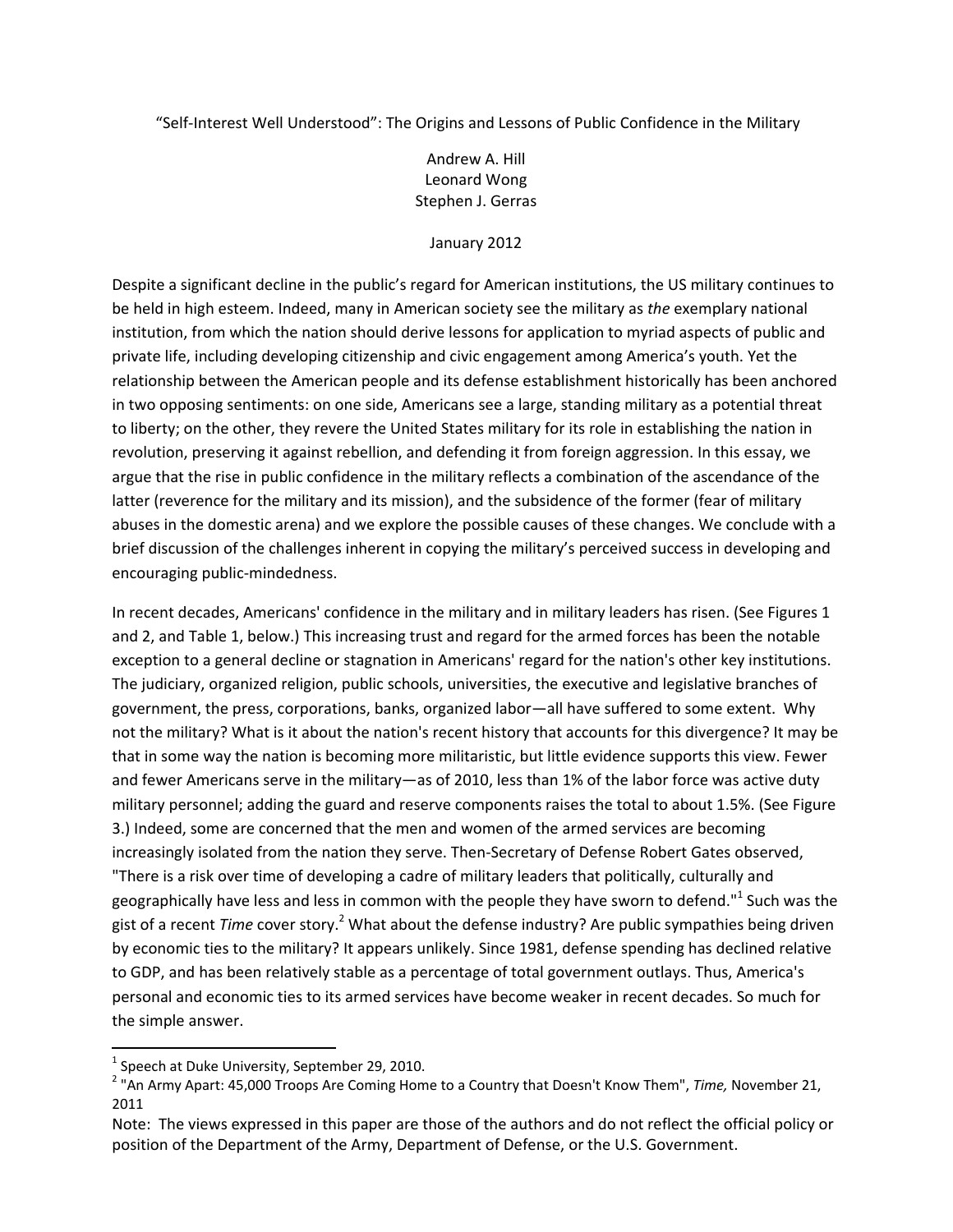"Self‐Interest Well Understood": The Origins and Lessons of Public Confidence in the Military

## Andrew A. Hill Leonard Wong Stephen J. Gerras

## January 2012

Despite a significant decline in the public's regard for American institutions, the US military continues to be held in high esteem. Indeed, many in American society see the military as *the* exemplary national institution, from which the nation should derive lessons for application to myriad aspects of public and private life, including developing citizenship and civic engagement among America's youth. Yet the relationship between the American people and its defense establishment historically has been anchored in two opposing sentiments: on one side, Americans see a large, standing military as a potential threat to liberty; on the other, they revere the United States military for its role in establishing the nation in revolution, preserving it against rebellion, and defending it from foreign aggression. In this essay, we argue that the rise in public confidence in the military reflects a combination of the ascendance of the latter (reverence for the military and its mission), and the subsidence of the former (fear of military abuses in the domestic arena) and we explore the possible causes of these changes. We conclude with a brief discussion of the challenges inherent in copying the military's perceived success in developing and encouraging public‐mindedness.

In recent decades, Americans' confidence in the military and in military leaders has risen. (See Figures 1 and 2, and Table 1, below.) This increasing trust and regard for the armed forces has been the notable exception to a general decline or stagnation in Americans' regard for the nation's other key institutions. The judiciary, organized religion, public schools, universities, the executive and legislative branches of government, the press, corporations, banks, organized labor—all have suffered to some extent. Why not the military? What is it about the nation's recent history that accounts for this divergence? It may be that in some way the nation is becoming more militaristic, but little evidence supports this view. Fewer and fewer Americans serve in the military—as of 2010, less than 1% of the labor force was active duty military personnel; adding the guard and reserve components raises the total to about 1.5%. (See Figure 3.) Indeed, some are concerned that the men and women of the armed services are becoming increasingly isolated from the nation they serve. Then-Secretary of Defense Robert Gates observed, "There is a risk over time of developing a cadre of military leaders that politically, culturally and geographically have less and less in common with the people they have sworn to defend."<sup>1</sup> Such was the gist of a recent *Time* cover story.<sup>2</sup> What about the defense industry? Are public sympathies being driven by economic ties to the military? It appears unlikely. Since 1981, defense spending has declined relative to GDP, and has been relatively stable as a percentage of total government outlays. Thus, America's personal and economic ties to its armed services have become weaker in recent decades. So much for the simple answer.

<sup>&</sup>lt;sup>1</sup> Speech at Duke University, September 29, 2010.<br><sup>2</sup> "An Army Apart: 45,000 Troops Are Coming Home to a Country that Doesn't Know Them", *Time,* November 21, 2011

Note: The views expressed in this paper are those of the authors and do not reflect the official policy or position of the Department of the Army, Department of Defense, or the U.S. Government.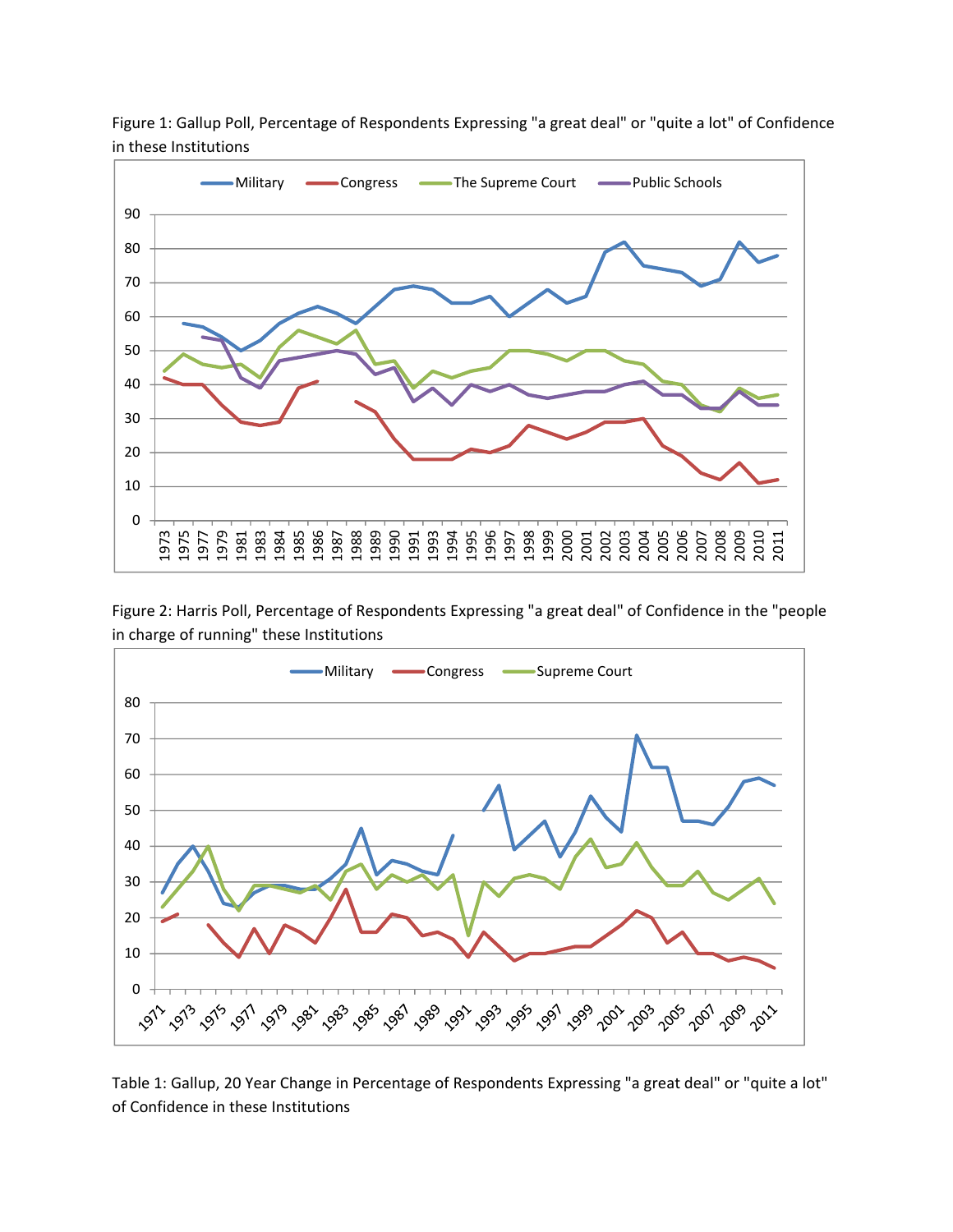

Figure 1: Gallup Poll, Percentage of Respondents Expressing "a great deal" or "quite a lot" of Confidence in these Institutions

Figure 2: Harris Poll, Percentage of Respondents Expressing "a great deal" of Confidence in the "people in charge of running" these Institutions



Table 1: Gallup, 20 Year Change in Percentage of Respondents Expressing "a great deal" or "quite a lot" of Confidence in these Institutions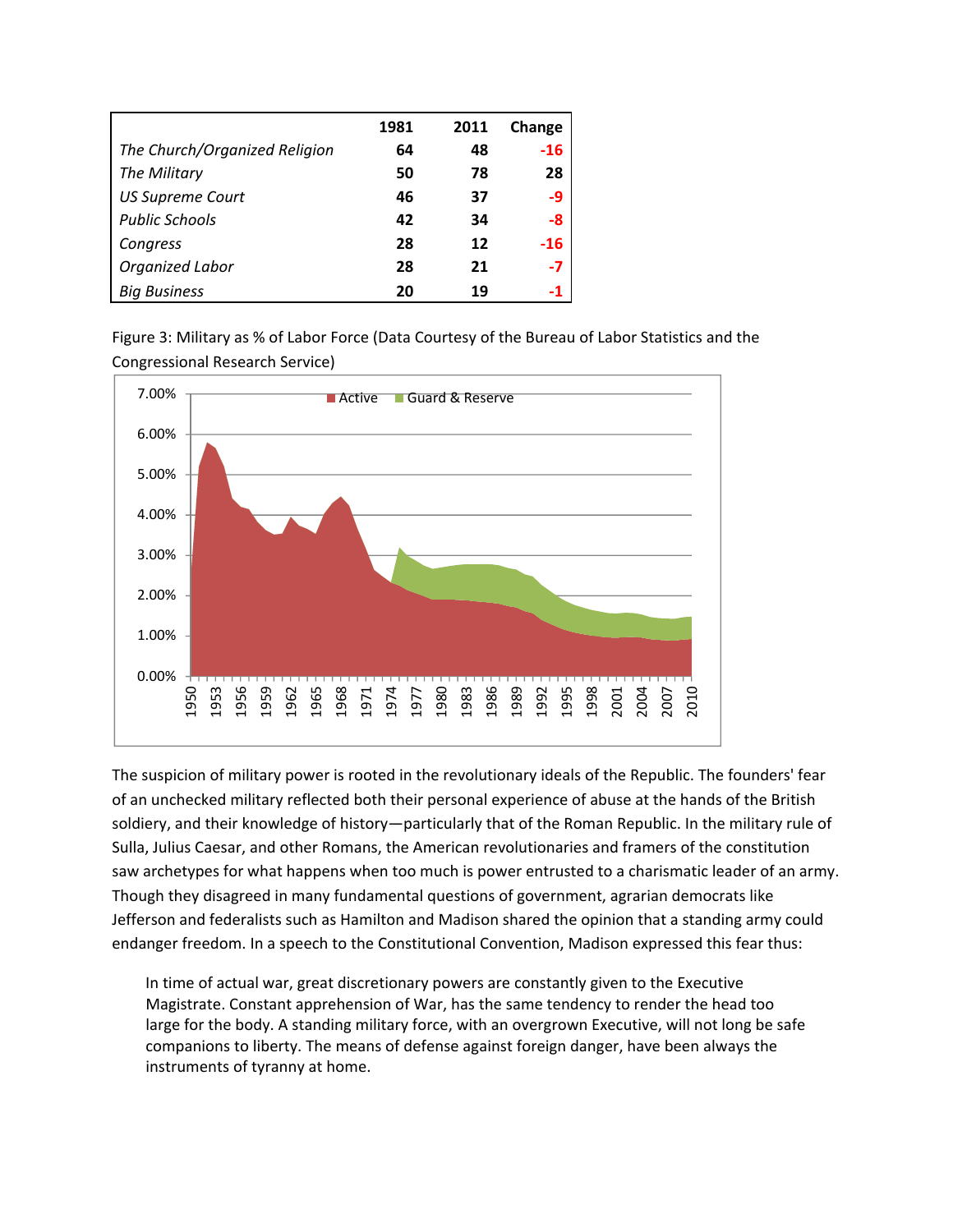|                               | 1981 | 2011 | Change |
|-------------------------------|------|------|--------|
| The Church/Organized Religion | 64   | 48   | $-16$  |
| The Military                  | 50   | 78   | 28     |
| <b>US Supreme Court</b>       | 46   | 37   | -9     |
| <b>Public Schools</b>         | 42   | 34   | -8     |
| Congress                      | 28   | 12   | $-16$  |
| Organized Labor               | 28   | 21   | $-7$   |
| <b>Big Business</b>           | 20   | 19   |        |

Figure 3: Military as % of Labor Force (Data Courtesy of the Bureau of Labor Statistics and the Congressional Research Service)



The suspicion of military power is rooted in the revolutionary ideals of the Republic. The founders' fear of an unchecked military reflected both their personal experience of abuse at the hands of the British soldiery, and their knowledge of history—particularly that of the Roman Republic. In the military rule of Sulla, Julius Caesar, and other Romans, the American revolutionaries and framers of the constitution saw archetypes for what happens when too much is power entrusted to a charismatic leader of an army. Though they disagreed in many fundamental questions of government, agrarian democrats like Jefferson and federalists such as Hamilton and Madison shared the opinion that a standing army could endanger freedom. In a speech to the Constitutional Convention, Madison expressed this fear thus:

In time of actual war, great discretionary powers are constantly given to the Executive Magistrate. Constant apprehension of War, has the same tendency to render the head too large for the body. A standing military force, with an overgrown Executive, will not long be safe companions to liberty. The means of defense against foreign danger, have been always the instruments of tyranny at home.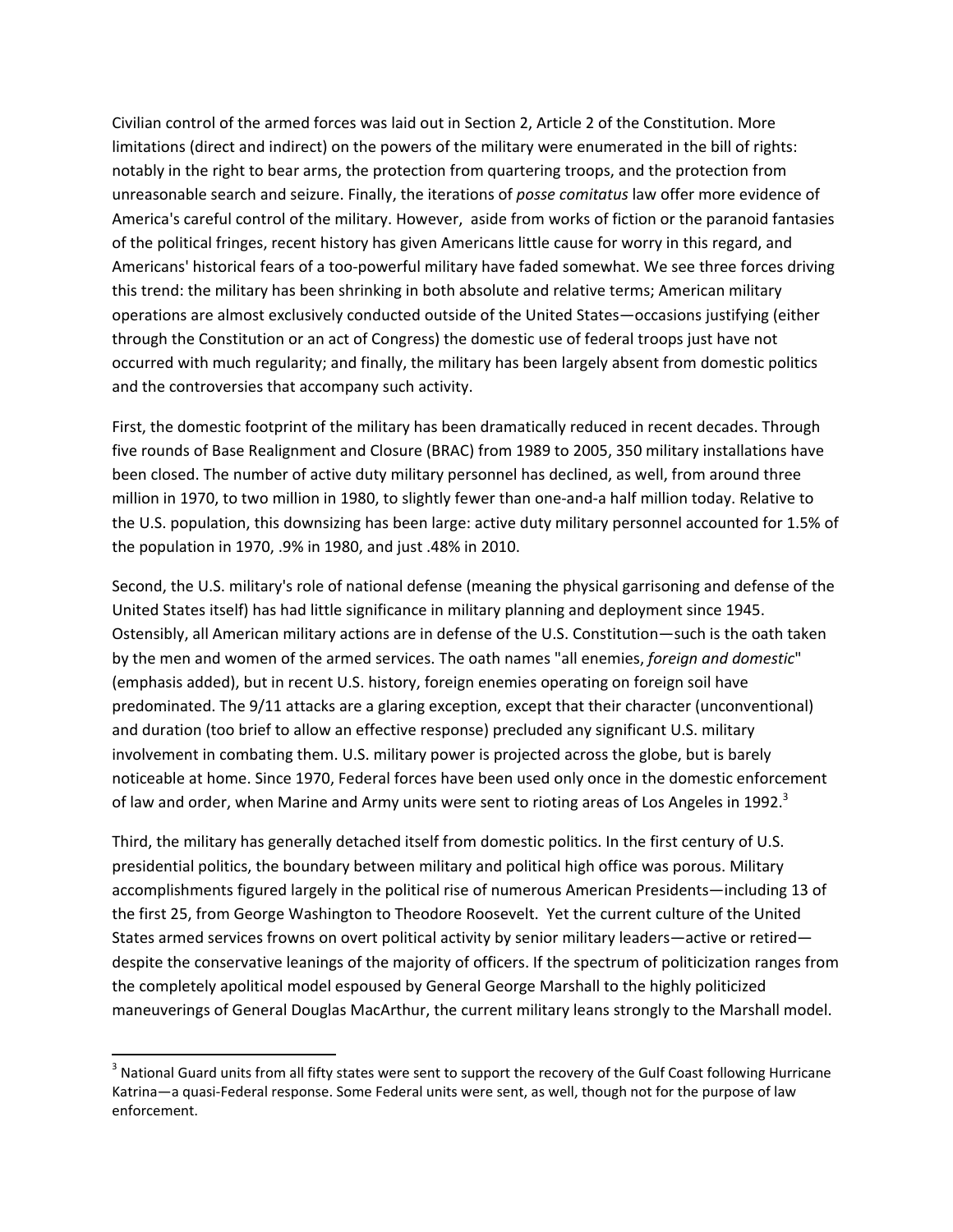Civilian control of the armed forces was laid out in Section 2, Article 2 of the Constitution. More limitations (direct and indirect) on the powers of the military were enumerated in the bill of rights: notably in the right to bear arms, the protection from quartering troops, and the protection from unreasonable search and seizure. Finally, the iterations of *posse comitatus* law offer more evidence of America's careful control of the military. However, aside from works of fiction or the paranoid fantasies of the political fringes, recent history has given Americans little cause for worry in this regard, and Americans' historical fears of a too-powerful military have faded somewhat. We see three forces driving this trend: the military has been shrinking in both absolute and relative terms; American military operations are almost exclusively conducted outside of the United States—occasions justifying (either through the Constitution or an act of Congress) the domestic use of federal troops just have not occurred with much regularity; and finally, the military has been largely absent from domestic politics and the controversies that accompany such activity.

First, the domestic footprint of the military has been dramatically reduced in recent decades. Through five rounds of Base Realignment and Closure (BRAC) from 1989 to 2005, 350 military installations have been closed. The number of active duty military personnel has declined, as well, from around three million in 1970, to two million in 1980, to slightly fewer than one-and-a half million today. Relative to the U.S. population, this downsizing has been large: active duty military personnel accounted for 1.5% of the population in 1970, .9% in 1980, and just .48% in 2010.

Second, the U.S. military's role of national defense (meaning the physical garrisoning and defense of the United States itself) has had little significance in military planning and deployment since 1945. Ostensibly, all American military actions are in defense of the U.S. Constitution—such is the oath taken by the men and women of the armed services. The oath names "all enemies, *foreign and domestic*" (emphasis added), but in recent U.S. history, foreign enemies operating on foreign soil have predominated. The 9/11 attacks are a glaring exception, except that their character (unconventional) and duration (too brief to allow an effective response) precluded any significant U.S. military involvement in combating them. U.S. military power is projected across the globe, but is barely noticeable at home. Since 1970, Federal forces have been used only once in the domestic enforcement of law and order, when Marine and Army units were sent to rioting areas of Los Angeles in 1992. $3$ 

Third, the military has generally detached itself from domestic politics. In the first century of U.S. presidential politics, the boundary between military and political high office was porous. Military accomplishments figured largely in the political rise of numerous American Presidents—including 13 of the first 25, from George Washington to Theodore Roosevelt. Yet the current culture of the United States armed services frowns on overt political activity by senior military leaders—active or retired despite the conservative leanings of the majority of officers. If the spectrum of politicization ranges from the completely apolitical model espoused by General George Marshall to the highly politicized maneuverings of General Douglas MacArthur, the current military leans strongly to the Marshall model.

 $3$  National Guard units from all fifty states were sent to support the recovery of the Gulf Coast following Hurricane Katrina—a quasi-Federal response. Some Federal units were sent, as well, though not for the purpose of law enforcement.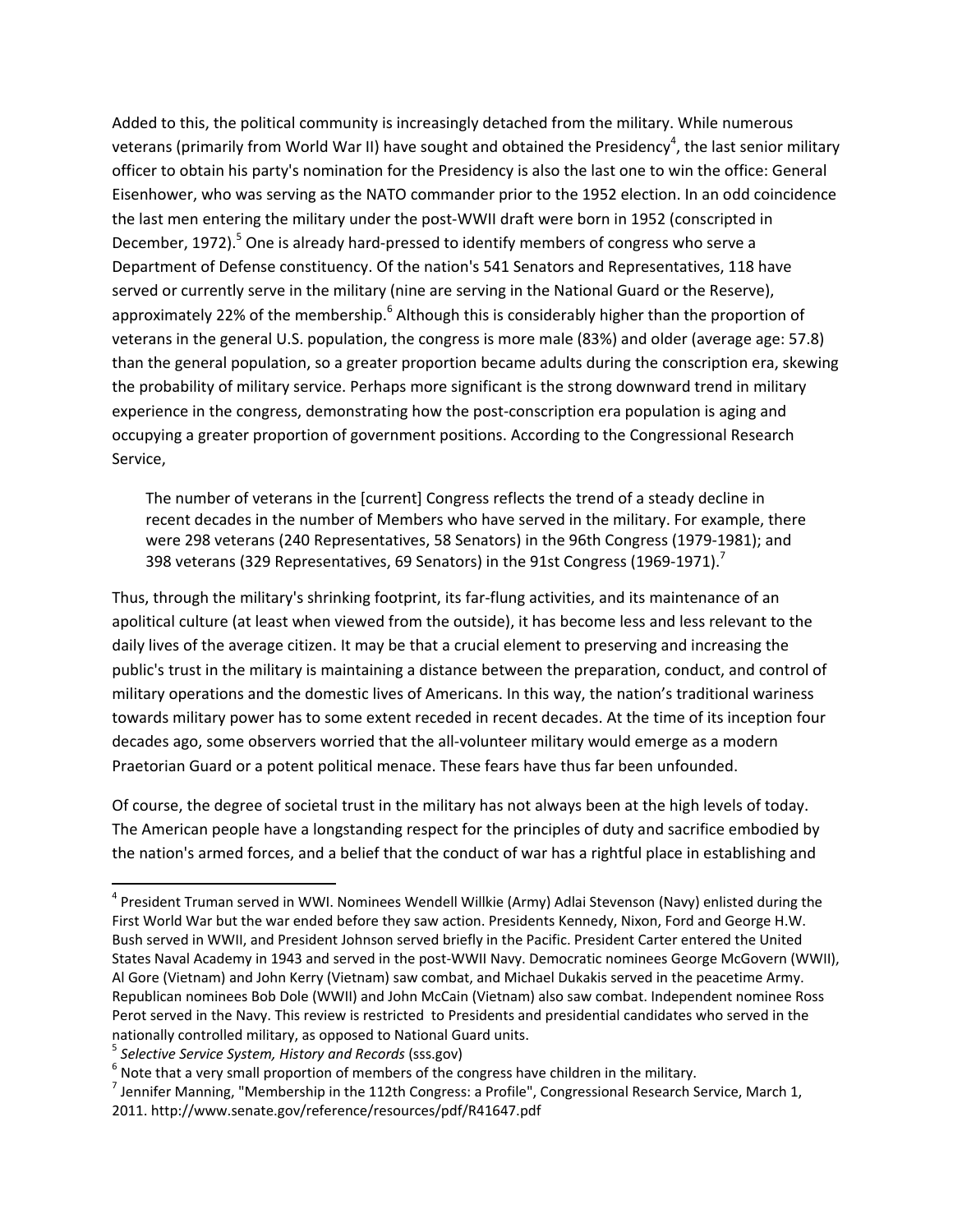Added to this, the political community is increasingly detached from the military. While numerous veterans (primarily from World War II) have sought and obtained the Presidency<sup>4</sup>, the last senior military officer to obtain his party's nomination for the Presidency is also the last one to win the office: General Eisenhower, who was serving as the NATO commander prior to the 1952 election. In an odd coincidence the last men entering the military under the post-WWII draft were born in 1952 (conscripted in December, 1972).<sup>5</sup> One is already hard-pressed to identify members of congress who serve a Department of Defense constituency. Of the nation's 541 Senators and Representatives, 118 have served or currently serve in the military (nine are serving in the National Guard or the Reserve), approximately 22% of the membership.<sup>6</sup> Although this is considerably higher than the proportion of veterans in the general U.S. population, the congress is more male (83%) and older (average age: 57.8) than the general population, so a greater proportion became adults during the conscription era, skewing the probability of military service. Perhaps more significant is the strong downward trend in military experience in the congress, demonstrating how the post-conscription era population is aging and occupying a greater proportion of government positions. According to the Congressional Research Service,

The number of veterans in the [current] Congress reflects the trend of a steady decline in recent decades in the number of Members who have served in the military. For example, there were 298 veterans (240 Representatives, 58 Senators) in the 96th Congress (1979‐1981); and 398 veterans (329 Representatives, 69 Senators) in the 91st Congress (1969-1971).<sup>7</sup>

Thus, through the military's shrinking footprint, its far‐flung activities, and its maintenance of an apolitical culture (at least when viewed from the outside), it has become less and less relevant to the daily lives of the average citizen. It may be that a crucial element to preserving and increasing the public's trust in the military is maintaining a distance between the preparation, conduct, and control of military operations and the domestic lives of Americans. In this way, the nation's traditional wariness towards military power has to some extent receded in recent decades. At the time of its inception four decades ago, some observers worried that the all‐volunteer military would emerge as a modern Praetorian Guard or a potent political menace. These fears have thus far been unfounded.

Of course, the degree of societal trust in the military has not always been at the high levels of today. The American people have a longstanding respect for the principles of duty and sacrifice embodied by the nation's armed forces, and a belief that the conduct of war has a rightful place in establishing and

 $4$  President Truman served in WWI. Nominees Wendell Willkie (Army) Adlai Stevenson (Navy) enlisted during the First World War but the war ended before they saw action. Presidents Kennedy, Nixon, Ford and George H.W. Bush served in WWII, and President Johnson served briefly in the Pacific. President Carter entered the United States Naval Academy in 1943 and served in the post‐WWII Navy. Democratic nominees George McGovern (WWII), Al Gore (Vietnam) and John Kerry (Vietnam) saw combat, and Michael Dukakis served in the peacetime Army. Republican nominees Bob Dole (WWII) and John McCain (Vietnam) also saw combat. Independent nominee Ross Perot served in the Navy. This review is restricted to Presidents and presidential candidates who served in the

nationally controlled military, as opposed to National Guard units.<br>
<sup>5</sup> Selective Service System, History and Records (sss.gov)<br>
<sup>6</sup> Note that a very small proportion of members of the congress have children in the milita 2011. http://www.senate.gov/reference/resources/pdf/R41647.pdf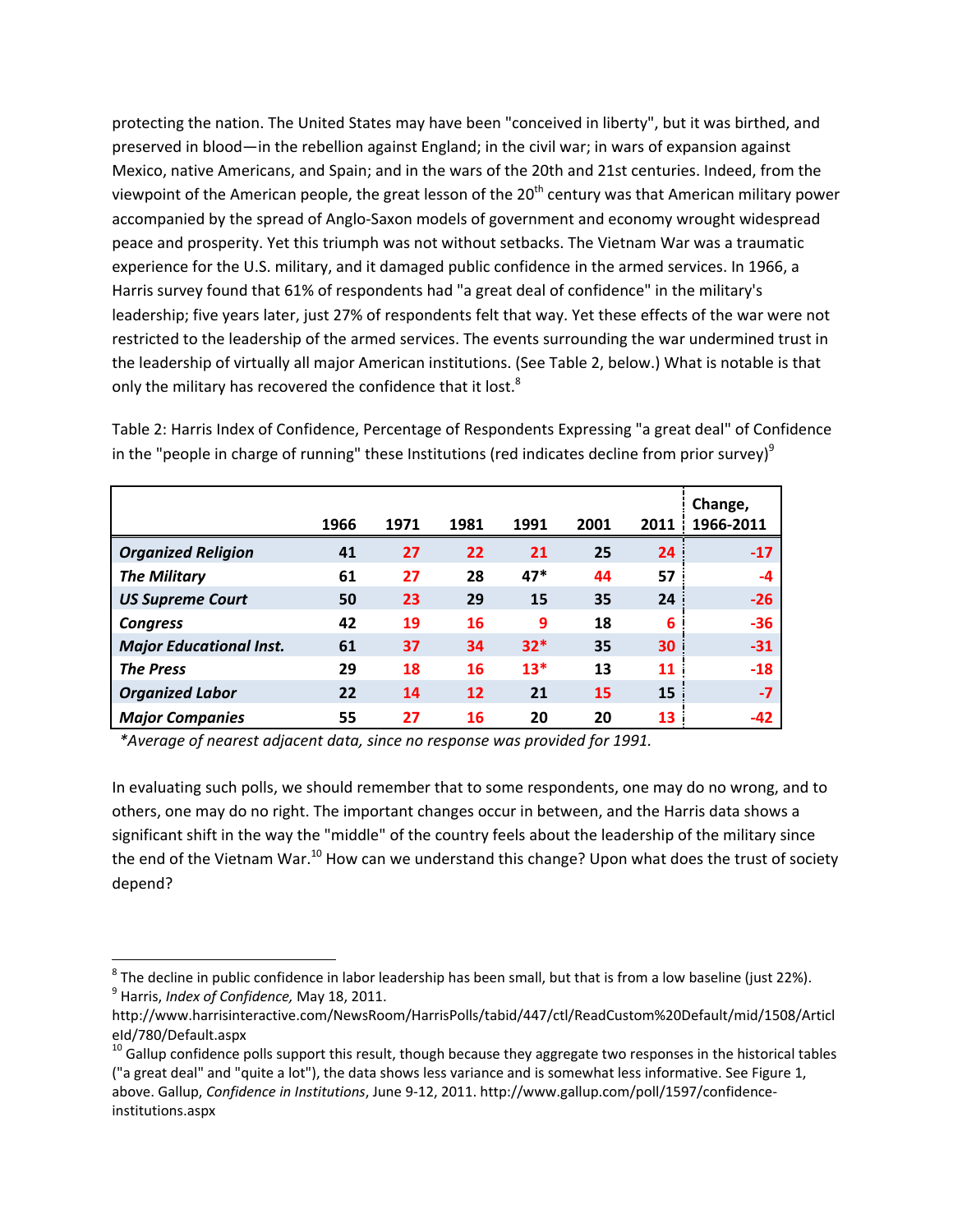protecting the nation. The United States may have been "conceived in liberty", but it was birthed, and preserved in blood—in the rebellion against England; in the civil war; in wars of expansion against Mexico, native Americans, and Spain; and in the wars of the 20th and 21st centuries. Indeed, from the viewpoint of the American people, the great lesson of the  $20<sup>th</sup>$  century was that American military power accompanied by the spread of Anglo‐Saxon models of government and economy wrought widespread peace and prosperity. Yet this triumph was not without setbacks. The Vietnam War was a traumatic experience for the U.S. military, and it damaged public confidence in the armed services. In 1966, a Harris survey found that 61% of respondents had "a great deal of confidence" in the military's leadership; five years later, just 27% of respondents felt that way. Yet these effects of the war were not restricted to the leadership of the armed services. The events surrounding the war undermined trust in the leadership of virtually all major American institutions. (See Table 2, below.) What is notable is that only the military has recovered the confidence that it lost. $8$ 

|                                | 1966 | 1971 | 1981 | 1991  | 2001 | 2011 | Change,<br>1966-2011 |
|--------------------------------|------|------|------|-------|------|------|----------------------|
| <b>Organized Religion</b>      | 41   | 27   | 22   | 21    | 25   | 24   | $-17$                |
| <b>The Military</b>            | 61   | 27   | 28   | $47*$ | 44   | 57   | $-4$                 |
| <b>US Supreme Court</b>        | 50   | 23   | 29   | 15    | 35   | 24   | $-26$                |
| <b>Congress</b>                | 42   | 19   | 16   | 9     | 18   | 6    | $-36$                |
| <b>Major Educational Inst.</b> | 61   | 37   | 34   | $32*$ | 35   | 30   | $-31$                |
| <b>The Press</b>               | 29   | 18   | 16   | $13*$ | 13   | 11   | $-18$                |
| <b>Organized Labor</b>         | 22   | 14   | 12   | 21    | 15   | 15   | $-7$                 |
| <b>Major Companies</b>         | 55   | 27   | 16   | 20    | 20   | 13   | $-42$                |

Table 2: Harris Index of Confidence, Percentage of Respondents Expressing "a great deal" of Confidence in the "people in charge of running" these Institutions (red indicates decline from prior survey) $9$ 

*\*Average of nearest adjacent data, since no response was provided for 1991.*

In evaluating such polls, we should remember that to some respondents, one may do no wrong, and to others, one may do no right. The important changes occur in between, and the Harris data shows a significant shift in the way the "middle" of the country feels about the leadership of the military since the end of the Vietnam War.<sup>10</sup> How can we understand this change? Upon what does the trust of society depend?

<sup>&</sup>lt;sup>8</sup> The decline in public confidence in labor leadership has been small, but that is from a low baseline (just 22%).<br><sup>9</sup> Harris, *Index of Confidence, M*ay 18, 2011.

http://www.harrisinteractive.com/NewsRoom/HarrisPolls/tabid/447/ctl/ReadCustom%20Default/mid/1508/Articl eId/780/Default.aspx

 $10$  Gallup confidence polls support this result, though because they aggregate two responses in the historical tables ("a great deal" and "quite a lot"), the data shows less variance and is somewhat less informative. See Figure 1, above. Gallup, *Confidence in Institutions*, June 9‐12, 2011. http://www.gallup.com/poll/1597/confidence‐ institutions.aspx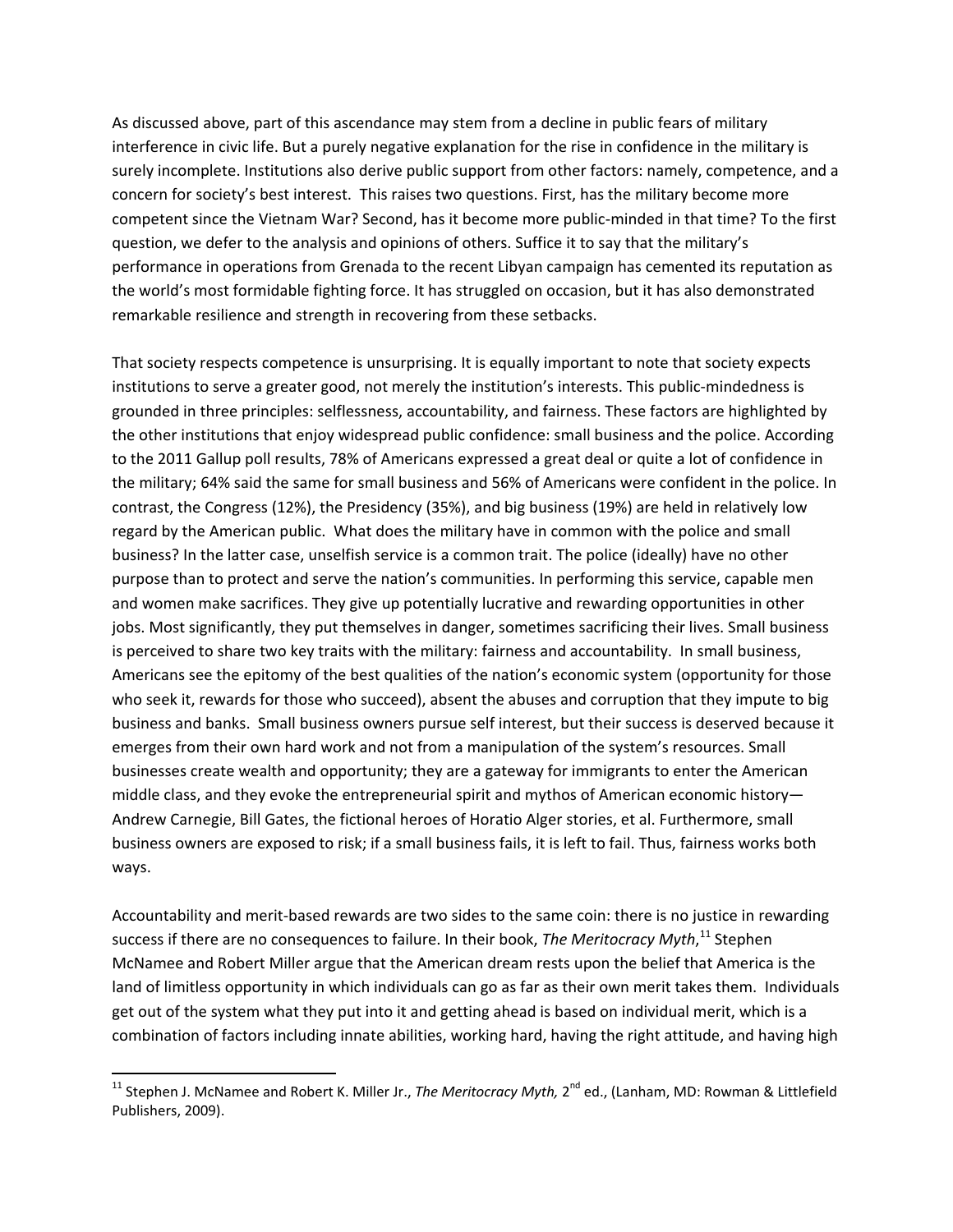As discussed above, part of this ascendance may stem from a decline in public fears of military interference in civic life. But a purely negative explanation for the rise in confidence in the military is surely incomplete. Institutions also derive public support from other factors: namely, competence, and a concern for society's best interest. This raises two questions. First, has the military become more competent since the Vietnam War? Second, has it become more public‐minded in that time? To the first question, we defer to the analysis and opinions of others. Suffice it to say that the military's performance in operations from Grenada to the recent Libyan campaign has cemented its reputation as the world's most formidable fighting force. It has struggled on occasion, but it has also demonstrated remarkable resilience and strength in recovering from these setbacks.

That society respects competence is unsurprising. It is equally important to note that society expects institutions to serve a greater good, not merely the institution's interests. This public‐mindedness is grounded in three principles: selflessness, accountability, and fairness. These factors are highlighted by the other institutions that enjoy widespread public confidence: small business and the police. According to the 2011 Gallup poll results, 78% of Americans expressed a great deal or quite a lot of confidence in the military; 64% said the same for small business and 56% of Americans were confident in the police. In contrast, the Congress (12%), the Presidency (35%), and big business (19%) are held in relatively low regard by the American public. What does the military have in common with the police and small business? In the latter case, unselfish service is a common trait. The police (ideally) have no other purpose than to protect and serve the nation's communities. In performing this service, capable men and women make sacrifices. They give up potentially lucrative and rewarding opportunities in other jobs. Most significantly, they put themselves in danger, sometimes sacrificing their lives. Small business is perceived to share two key traits with the military: fairness and accountability. In small business, Americans see the epitomy of the best qualities of the nation's economic system (opportunity for those who seek it, rewards for those who succeed), absent the abuses and corruption that they impute to big business and banks. Small business owners pursue self interest, but their success is deserved because it emerges from their own hard work and not from a manipulation of the system's resources. Small businesses create wealth and opportunity; they are a gateway for immigrants to enter the American middle class, and they evoke the entrepreneurial spirit and mythos of American economic history— Andrew Carnegie, Bill Gates, the fictional heroes of Horatio Alger stories, et al. Furthermore, small business owners are exposed to risk; if a small business fails, it is left to fail. Thus, fairness works both ways.

Accountability and merit‐based rewards are two sides to the same coin: there is no justice in rewarding success if there are no consequences to failure. In their book, *The Meritocracy Myth*, <sup>11</sup> Stephen McNamee and Robert Miller argue that the American dream rests upon the belief that America is the land of limitless opportunity in which individuals can go as far as their own merit takes them. Individuals get out of the system what they put into it and getting ahead is based on individual merit, which is a combination of factors including innate abilities, working hard, having the right attitude, and having high

<sup>&</sup>lt;sup>11</sup> Stephen J. McNamee and Robert K. Miller Jr., *The Meritocracy Myth,* 2<sup>nd</sup> ed., (Lanham, MD: Rowman & Littlefield Publishers, 2009).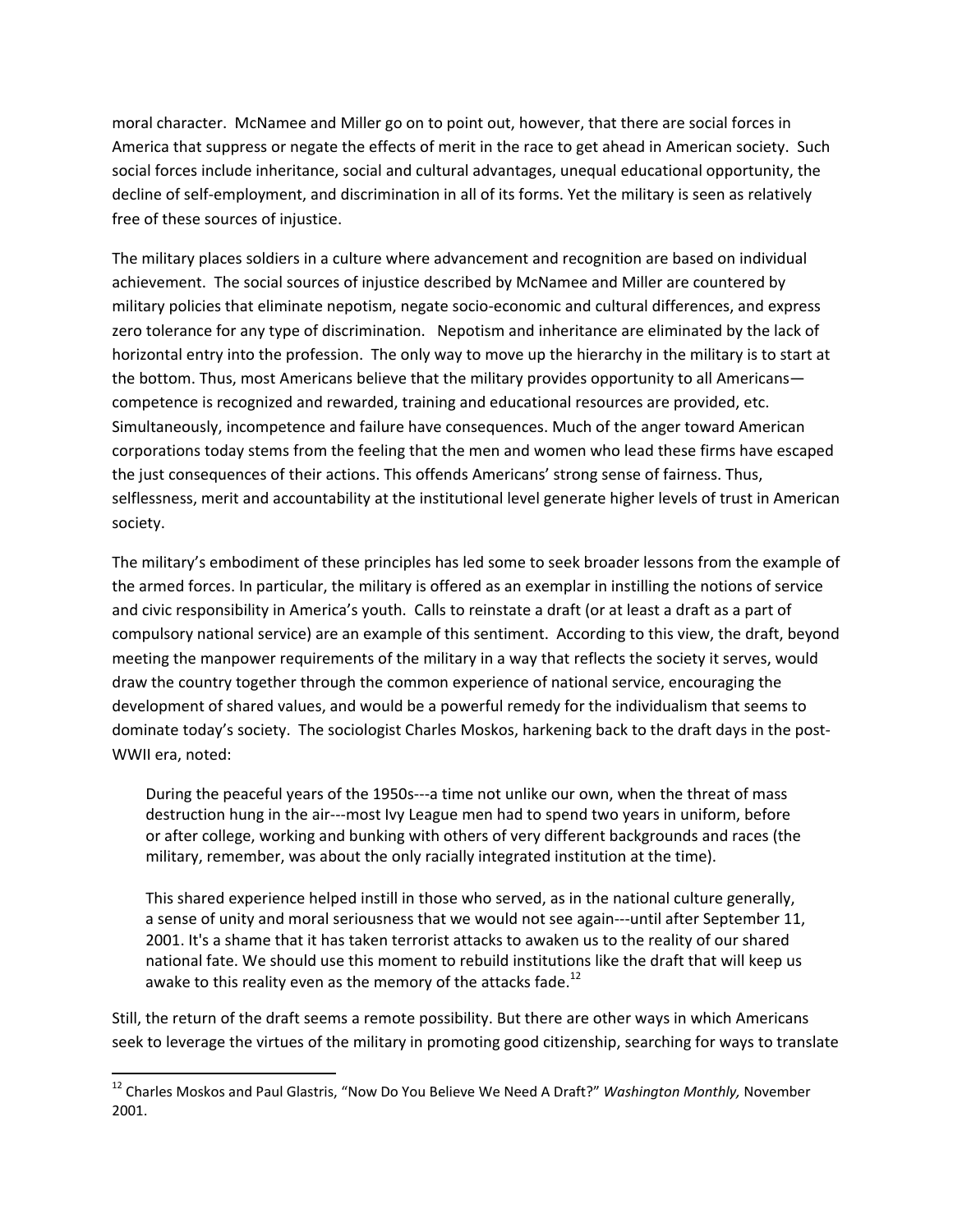moral character. McNamee and Miller go on to point out, however, that there are social forces in America that suppress or negate the effects of merit in the race to get ahead in American society. Such social forces include inheritance, social and cultural advantages, unequal educational opportunity, the decline of self-employment, and discrimination in all of its forms. Yet the military is seen as relatively free of these sources of injustice.

The military places soldiers in a culture where advancement and recognition are based on individual achievement. The social sources of injustice described by McNamee and Miller are countered by military policies that eliminate nepotism, negate socio‐economic and cultural differences, and express zero tolerance for any type of discrimination. Nepotism and inheritance are eliminated by the lack of horizontal entry into the profession. The only way to move up the hierarchy in the military is to start at the bottom. Thus, most Americans believe that the military provides opportunity to all Americans competence is recognized and rewarded, training and educational resources are provided, etc. Simultaneously, incompetence and failure have consequences. Much of the anger toward American corporations today stems from the feeling that the men and women who lead these firms have escaped the just consequences of their actions. This offends Americans' strong sense of fairness. Thus, selflessness, merit and accountability at the institutional level generate higher levels of trust in American society.

The military's embodiment of these principles has led some to seek broader lessons from the example of the armed forces. In particular, the military is offered as an exemplar in instilling the notions of service and civic responsibility in America's youth. Calls to reinstate a draft (or at least a draft as a part of compulsory national service) are an example of this sentiment. According to this view, the draft, beyond meeting the manpower requirements of the military in a way that reflects the society it serves, would draw the country together through the common experience of national service, encouraging the development of shared values, and would be a powerful remedy for the individualism that seems to dominate today's society. The sociologist Charles Moskos, harkening back to the draft days in the post‐ WWII era, noted:

During the peaceful years of the 1950s‐‐‐a time not unlike our own, when the threat of mass destruction hung in the air‐‐‐most Ivy League men had to spend two years in uniform, before or after college, working and bunking with others of very different backgrounds and races (the military, remember, was about the only racially integrated institution at the time).

This shared experience helped instill in those who served, as in the national culture generally, a sense of unity and moral seriousness that we would not see again‐‐‐until after September 11, 2001. It's a shame that it has taken terrorist attacks to awaken us to the reality of our shared national fate. We should use this moment to rebuild institutions like the draft that will keep us awake to this reality even as the memory of the attacks fade.<sup>12</sup>

Still, the return of the draft seems a remote possibility. But there are other ways in which Americans seek to leverage the virtues of the military in promoting good citizenship, searching for ways to translate

<sup>12</sup> Charles Moskos and Paul Glastris, "Now Do You Believe We Need A Draft?" *Washington Monthly,* November 2001.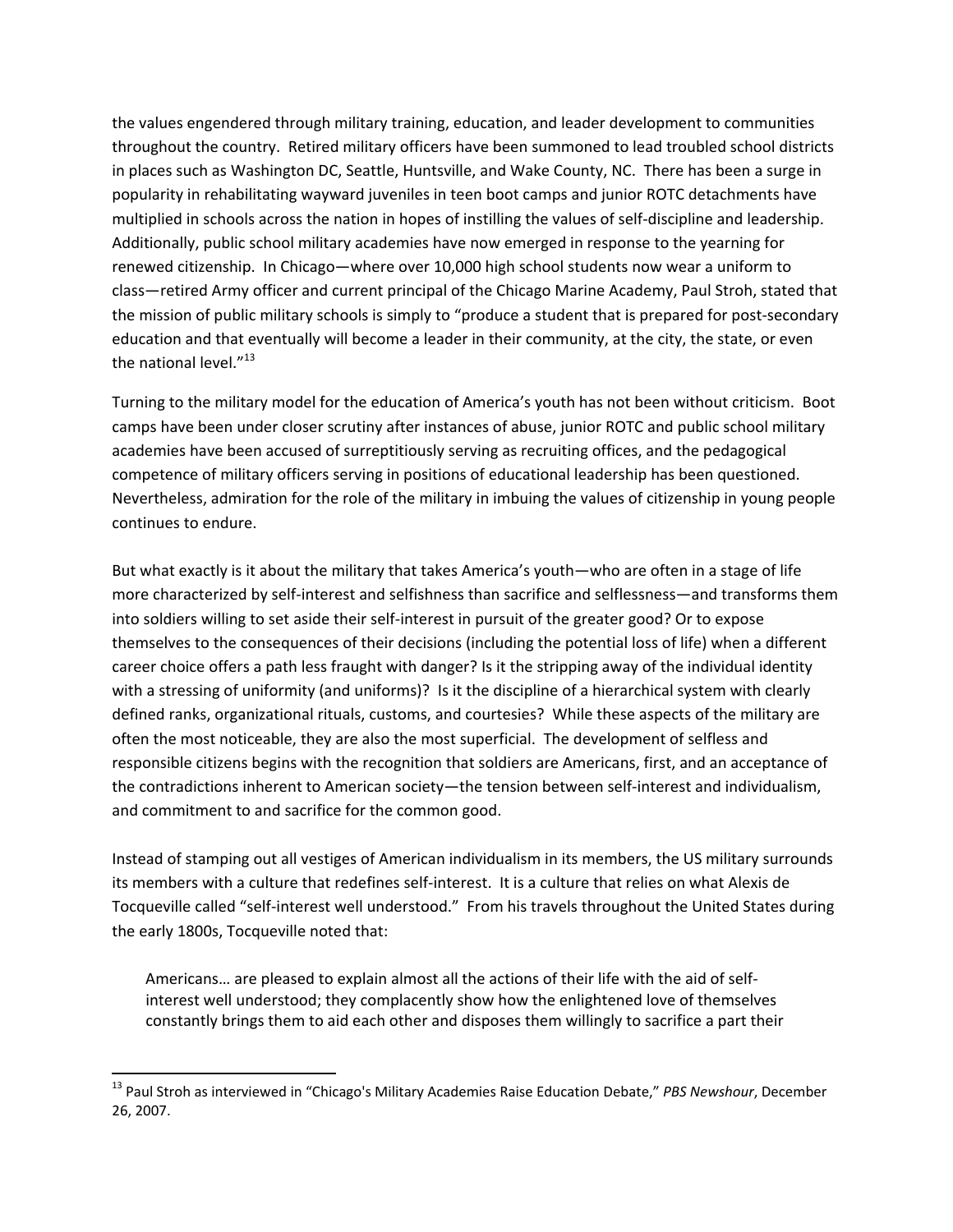the values engendered through military training, education, and leader development to communities throughout the country. Retired military officers have been summoned to lead troubled school districts in places such as Washington DC, Seattle, Huntsville, and Wake County, NC. There has been a surge in popularity in rehabilitating wayward juveniles in teen boot camps and junior ROTC detachments have multiplied in schools across the nation in hopes of instilling the values of self‐discipline and leadership. Additionally, public school military academies have now emerged in response to the yearning for renewed citizenship. In Chicago—where over 10,000 high school students now wear a uniform to class—retired Army officer and current principal of the Chicago Marine Academy, Paul Stroh, stated that the mission of public military schools is simply to "produce a student that is prepared for post-secondary education and that eventually will become a leader in their community, at the city, the state, or even the national level."<sup>13</sup>

Turning to the military model for the education of America's youth has not been without criticism. Boot camps have been under closer scrutiny after instances of abuse, junior ROTC and public school military academies have been accused of surreptitiously serving as recruiting offices, and the pedagogical competence of military officers serving in positions of educational leadership has been questioned. Nevertheless, admiration for the role of the military in imbuing the values of citizenship in young people continues to endure.

But what exactly is it about the military that takes America's youth—who are often in a stage of life more characterized by self-interest and selfishness than sacrifice and selflessness—and transforms them into soldiers willing to set aside their self‐interest in pursuit of the greater good? Or to expose themselves to the consequences of their decisions (including the potential loss of life) when a different career choice offers a path less fraught with danger? Is it the stripping away of the individual identity with a stressing of uniformity (and uniforms)? Is it the discipline of a hierarchical system with clearly defined ranks, organizational rituals, customs, and courtesies? While these aspects of the military are often the most noticeable, they are also the most superficial. The development of selfless and responsible citizens begins with the recognition that soldiers are Americans, first, and an acceptance of the contradictions inherent to American society—the tension between self-interest and individualism, and commitment to and sacrifice for the common good.

Instead of stamping out all vestiges of American individualism in its members, the US military surrounds its members with a culture that redefines self‐interest. It is a culture that relies on what Alexis de Tocqueville called "self‐interest well understood." From his travels throughout the United States during the early 1800s, Tocqueville noted that:

Americans… are pleased to explain almost all the actions of their life with the aid of self‐ interest well understood; they complacently show how the enlightened love of themselves constantly brings them to aid each other and disposes them willingly to sacrifice a part their

<sup>13</sup> Paul Stroh as interviewed in "Chicago's Military Academies Raise Education Debate," *PBS Newshour*, December 26, 2007.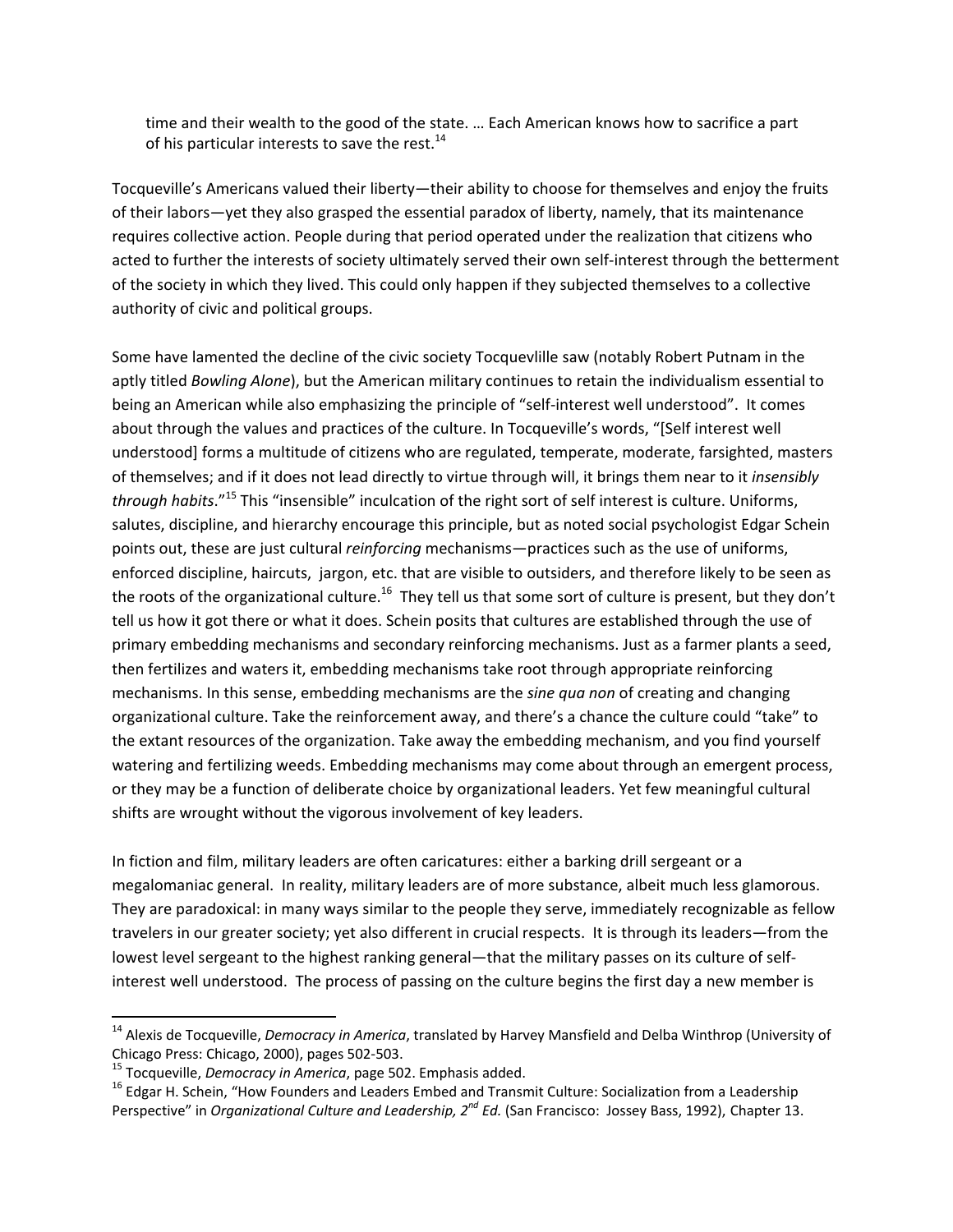time and their wealth to the good of the state. … Each American knows how to sacrifice a part of his particular interests to save the rest. $^{14}$ 

Tocqueville's Americans valued their liberty—their ability to choose for themselves and enjoy the fruits of their labors—yet they also grasped the essential paradox of liberty, namely, that its maintenance requires collective action. People during that period operated under the realization that citizens who acted to further the interests of society ultimately served their own self-interest through the betterment of the society in which they lived. This could only happen if they subjected themselves to a collective authority of civic and political groups.

Some have lamented the decline of the civic society Tocquevlille saw (notably Robert Putnam in the aptly titled *Bowling Alone*), but the American military continues to retain the individualism essential to being an American while also emphasizing the principle of "self-interest well understood". It comes about through the values and practices of the culture. In Tocqueville's words, "[Self interest well understood] forms a multitude of citizens who are regulated, temperate, moderate, farsighted, masters of themselves; and if it does not lead directly to virtue through will, it brings them near to it *insensibly through habits*."<sup>15</sup> This "insensible" inculcation of the right sort of self interest is culture. Uniforms, salutes, discipline, and hierarchy encourage this principle, but as noted social psychologist Edgar Schein points out, these are just cultural *reinforcing* mechanisms—practices such as the use of uniforms, enforced discipline, haircuts, jargon, etc. that are visible to outsiders, and therefore likely to be seen as the roots of the organizational culture.<sup>16</sup> They tell us that some sort of culture is present, but they don't tell us how it got there or what it does. Schein posits that cultures are established through the use of primary embedding mechanisms and secondary reinforcing mechanisms. Just as a farmer plants a seed, then fertilizes and waters it, embedding mechanisms take root through appropriate reinforcing mechanisms. In this sense, embedding mechanisms are the *sine qua non* of creating and changing organizational culture. Take the reinforcement away, and there's a chance the culture could "take" to the extant resources of the organization. Take away the embedding mechanism, and you find yourself watering and fertilizing weeds. Embedding mechanisms may come about through an emergent process, or they may be a function of deliberate choice by organizational leaders. Yet few meaningful cultural shifts are wrought without the vigorous involvement of key leaders.

In fiction and film, military leaders are often caricatures: either a barking drill sergeant or a megalomaniac general. In reality, military leaders are of more substance, albeit much less glamorous. They are paradoxical: in many ways similar to the people they serve, immediately recognizable as fellow travelers in our greater society; yet also different in crucial respects. It is through its leaders—from the lowest level sergeant to the highest ranking general—that the military passes on its culture of self‐ interest well understood. The process of passing on the culture begins the first day a new member is

<sup>14</sup> Alexis de Tocqueville, *Democracy in America*, translated by Harvey Mansfield and Delba Winthrop (University of Chicago Press: Chicago, 2000), pages 502-503.<br><sup>15</sup> Tocqueville, *Democracy in America*, page 502. Emphasis added.<br><sup>16</sup> Edgar H. Schein, "How Founders and Leaders Embed and Transmit Culture: Socialization from a Leadership

Perspective" in *Organizational Culture and Leadership, 2nd Ed.* (San Francisco: Jossey Bass, 1992), Chapter 13.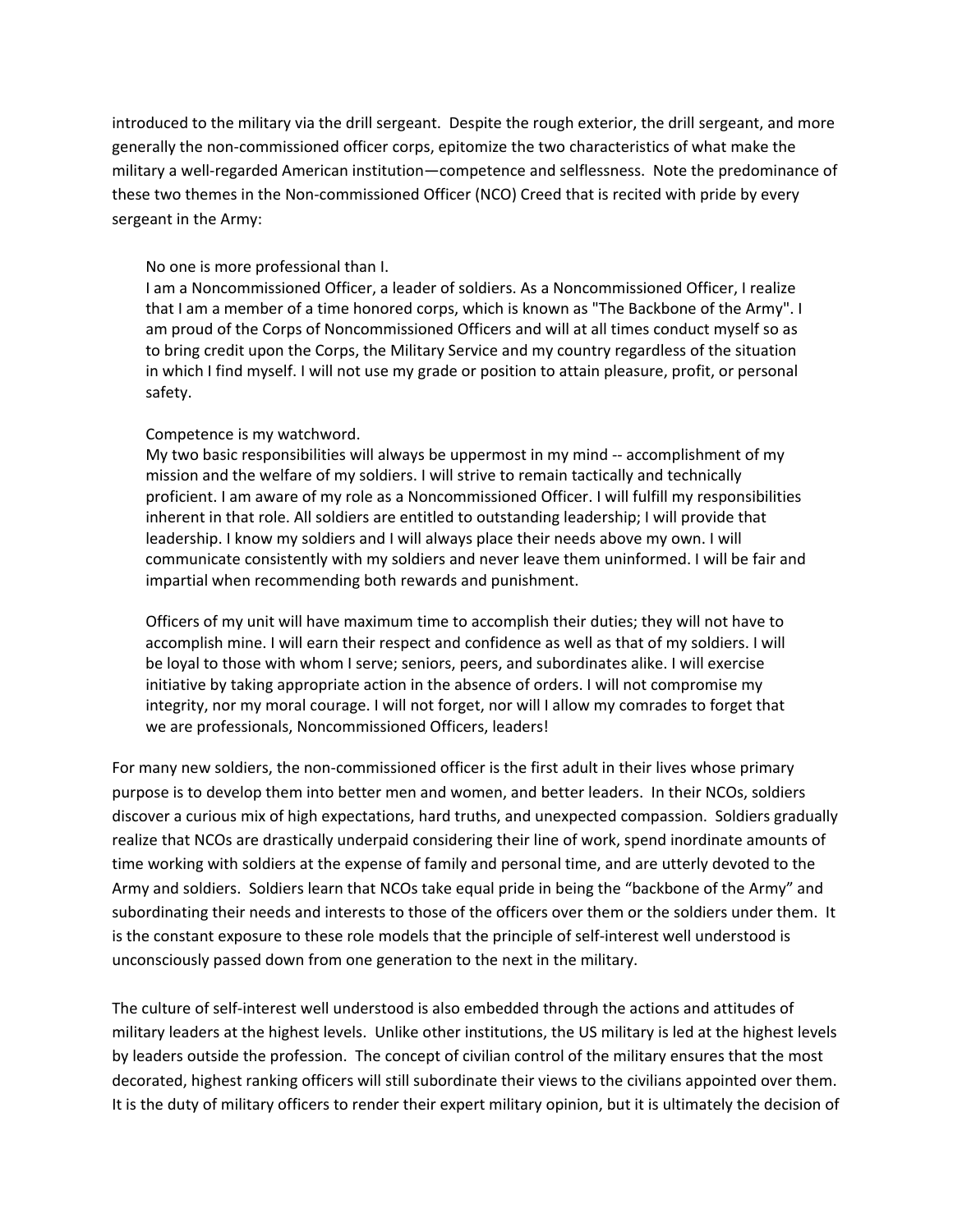introduced to the military via the drill sergeant. Despite the rough exterior, the drill sergeant, and more generally the non‐commissioned officer corps, epitomize the two characteristics of what make the military a well-regarded American institution—competence and selflessness. Note the predominance of these two themes in the Non‐commissioned Officer (NCO) Creed that is recited with pride by every sergeant in the Army:

## No one is more professional than I.

I am a Noncommissioned Officer, a leader of soldiers. As a Noncommissioned Officer, I realize that I am a member of a time honored corps, which is known as "The Backbone of the Army". I am proud of the Corps of Noncommissioned Officers and will at all times conduct myself so as to bring credit upon the Corps, the Military Service and my country regardless of the situation in which I find myself. I will not use my grade or position to attain pleasure, profit, or personal safety.

## Competence is my watchword.

My two basic responsibilities will always be uppermost in my mind ‐‐ accomplishment of my mission and the welfare of my soldiers. I will strive to remain tactically and technically proficient. I am aware of my role as a Noncommissioned Officer. I will fulfill my responsibilities inherent in that role. All soldiers are entitled to outstanding leadership; I will provide that leadership. I know my soldiers and I will always place their needs above my own. I will communicate consistently with my soldiers and never leave them uninformed. I will be fair and impartial when recommending both rewards and punishment.

Officers of my unit will have maximum time to accomplish their duties; they will not have to accomplish mine. I will earn their respect and confidence as well as that of my soldiers. I will be loyal to those with whom I serve; seniors, peers, and subordinates alike. I will exercise initiative by taking appropriate action in the absence of orders. I will not compromise my integrity, nor my moral courage. I will not forget, nor will I allow my comrades to forget that we are professionals, Noncommissioned Officers, leaders!

For many new soldiers, the non‐commissioned officer is the first adult in their lives whose primary purpose is to develop them into better men and women, and better leaders. In their NCOs, soldiers discover a curious mix of high expectations, hard truths, and unexpected compassion. Soldiers gradually realize that NCOs are drastically underpaid considering their line of work, spend inordinate amounts of time working with soldiers at the expense of family and personal time, and are utterly devoted to the Army and soldiers. Soldiers learn that NCOs take equal pride in being the "backbone of the Army" and subordinating their needs and interests to those of the officers over them or the soldiers under them. It is the constant exposure to these role models that the principle of self-interest well understood is unconsciously passed down from one generation to the next in the military.

The culture of self-interest well understood is also embedded through the actions and attitudes of military leaders at the highest levels. Unlike other institutions, the US military is led at the highest levels by leaders outside the profession. The concept of civilian control of the military ensures that the most decorated, highest ranking officers will still subordinate their views to the civilians appointed over them. It is the duty of military officers to render their expert military opinion, but it is ultimately the decision of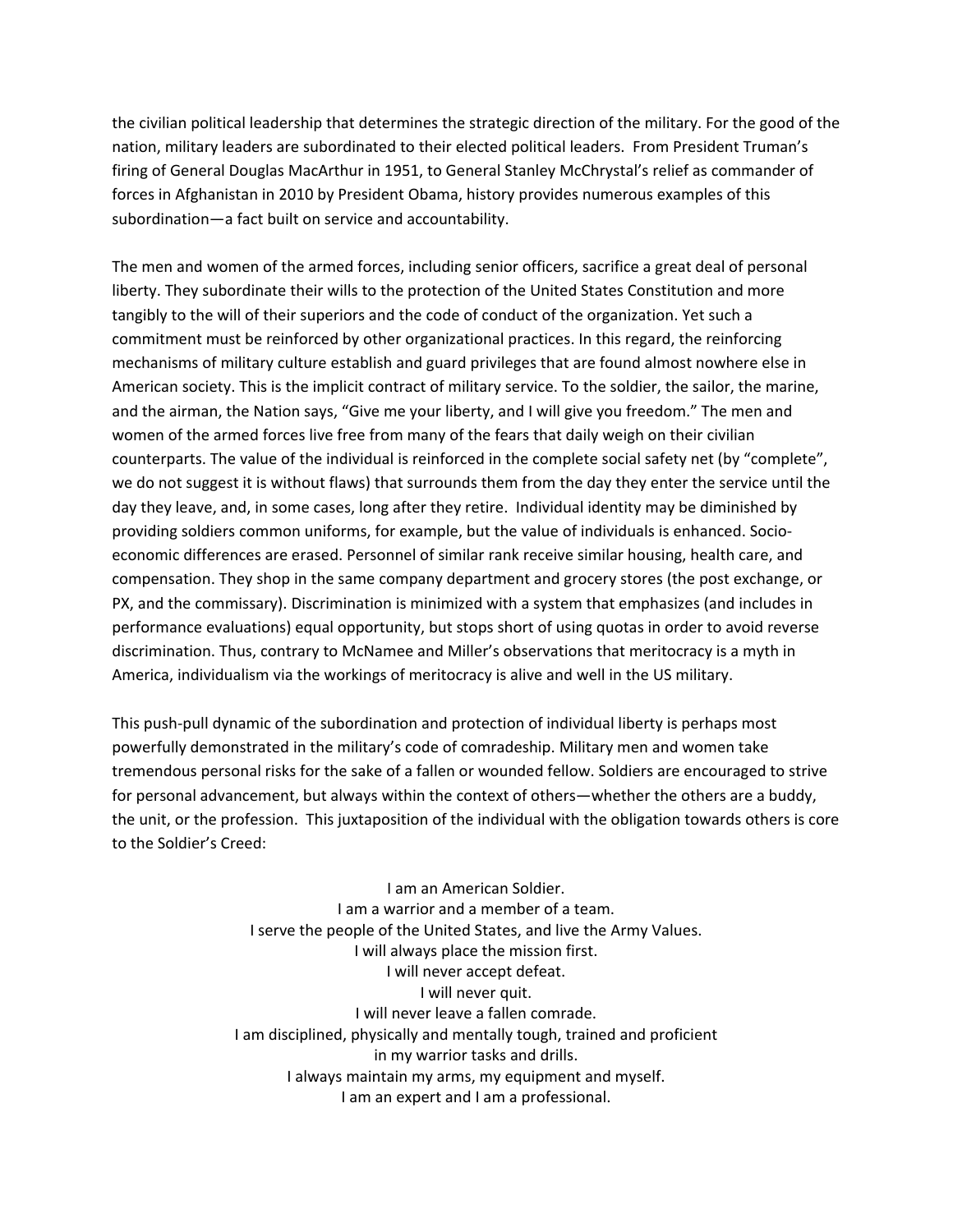the civilian political leadership that determines the strategic direction of the military. For the good of the nation, military leaders are subordinated to their elected political leaders. From President Truman's firing of General Douglas MacArthur in 1951, to General Stanley McChrystal's relief as commander of forces in Afghanistan in 2010 by President Obama, history provides numerous examples of this subordination—a fact built on service and accountability.

The men and women of the armed forces, including senior officers, sacrifice a great deal of personal liberty. They subordinate their wills to the protection of the United States Constitution and more tangibly to the will of their superiors and the code of conduct of the organization. Yet such a commitment must be reinforced by other organizational practices. In this regard, the reinforcing mechanisms of military culture establish and guard privileges that are found almost nowhere else in American society. This is the implicit contract of military service. To the soldier, the sailor, the marine, and the airman, the Nation says, "Give me your liberty, and I will give you freedom." The men and women of the armed forces live free from many of the fears that daily weigh on their civilian counterparts. The value of the individual is reinforced in the complete social safety net (by "complete", we do not suggest it is without flaws) that surrounds them from the day they enter the service until the day they leave, and, in some cases, long after they retire. Individual identity may be diminished by providing soldiers common uniforms, for example, but the value of individuals is enhanced. Socioeconomic differences are erased. Personnel of similar rank receive similar housing, health care, and compensation. They shop in the same company department and grocery stores (the post exchange, or PX, and the commissary). Discrimination is minimized with a system that emphasizes (and includes in performance evaluations) equal opportunity, but stops short of using quotas in order to avoid reverse discrimination. Thus, contrary to McNamee and Miller's observations that meritocracy is a myth in America, individualism via the workings of meritocracy is alive and well in the US military.

This push‐pull dynamic of the subordination and protection of individual liberty is perhaps most powerfully demonstrated in the military's code of comradeship. Military men and women take tremendous personal risks for the sake of a fallen or wounded fellow. Soldiers are encouraged to strive for personal advancement, but always within the context of others—whether the others are a buddy, the unit, or the profession. This juxtaposition of the individual with the obligation towards others is core to the Soldier's Creed:

> I am an American Soldier. I am a warrior and a member of a team. I serve the people of the United States, and live the Army Values. I will always place the mission first. I will never accept defeat. I will never quit. I will never leave a fallen comrade. I am disciplined, physically and mentally tough, trained and proficient in my warrior tasks and drills. I always maintain my arms, my equipment and myself. I am an expert and I am a professional.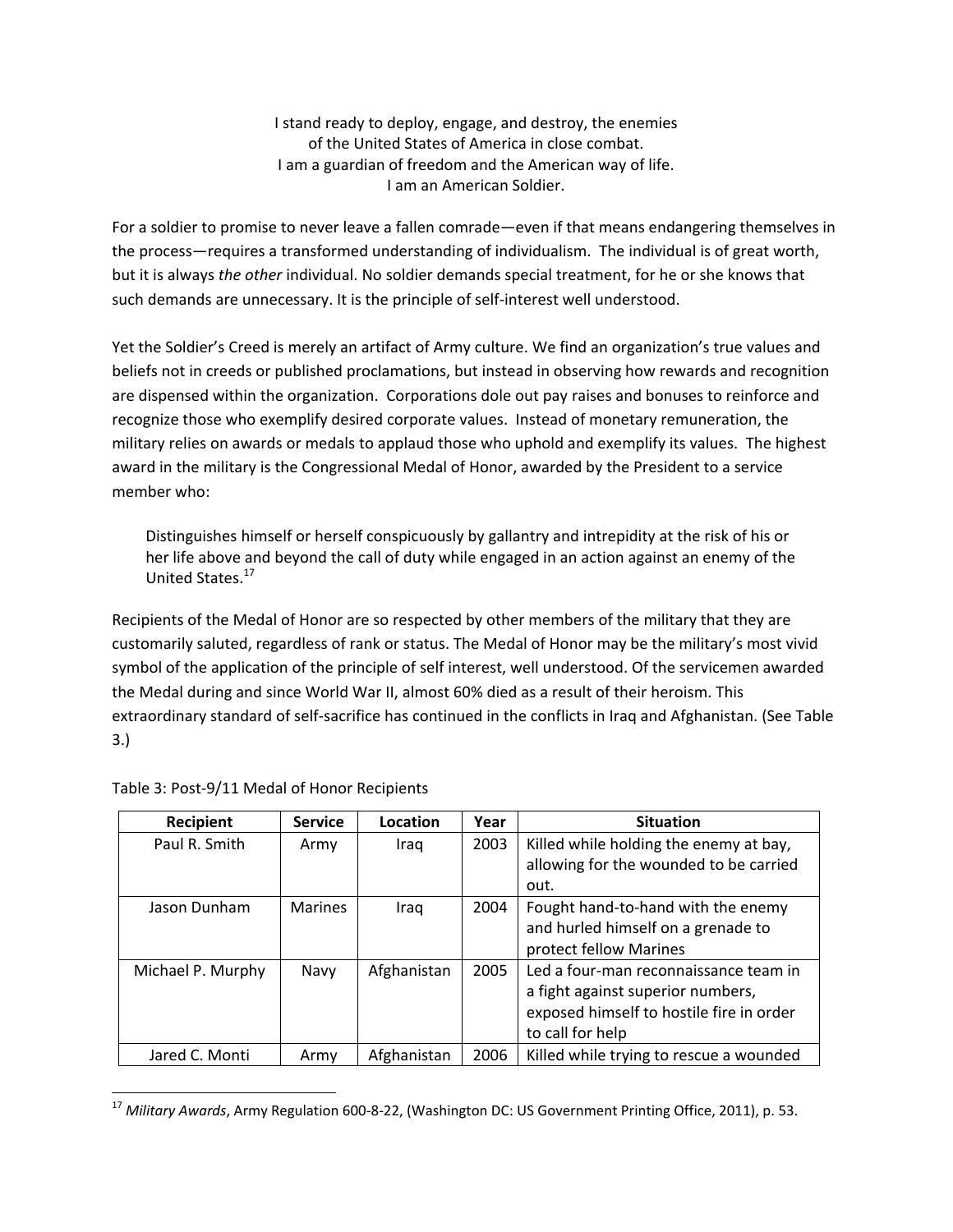I stand ready to deploy, engage, and destroy, the enemies of the United States of America in close combat. I am a guardian of freedom and the American way of life. I am an American Soldier.

For a soldier to promise to never leave a fallen comrade—even if that means endangering themselves in the process—requires a transformed understanding of individualism. The individual is of great worth, but it is always *the other* individual. No soldier demands special treatment, for he or she knows that such demands are unnecessary. It is the principle of self-interest well understood.

Yet the Soldier's Creed is merely an artifact of Army culture. We find an organization's true values and beliefs not in creeds or published proclamations, but instead in observing how rewards and recognition are dispensed within the organization. Corporations dole out pay raises and bonuses to reinforce and recognize those who exemplify desired corporate values. Instead of monetary remuneration, the military relies on awards or medals to applaud those who uphold and exemplify its values. The highest award in the military is the Congressional Medal of Honor, awarded by the President to a service member who:

Distinguishes himself or herself conspicuously by gallantry and intrepidity at the risk of his or her life above and beyond the call of duty while engaged in an action against an enemy of the United States.17

Recipients of the Medal of Honor are so respected by other members of the military that they are customarily saluted, regardless of rank or status. The Medal of Honor may be the military's most vivid symbol of the application of the principle of self interest, well understood. Of the servicemen awarded the Medal during and since World War II, almost 60% died as a result of their heroism. This extraordinary standard of self‐sacrifice has continued in the conflicts in Iraq and Afghanistan. (See Table 3.)

| Recipient         | <b>Service</b> | Location    | Year | <b>Situation</b>                         |
|-------------------|----------------|-------------|------|------------------------------------------|
| Paul R. Smith     | Army           | Iraq        | 2003 | Killed while holding the enemy at bay,   |
|                   |                |             |      | allowing for the wounded to be carried   |
|                   |                |             |      | out.                                     |
| Jason Dunham      | <b>Marines</b> | Iraq        | 2004 | Fought hand-to-hand with the enemy       |
|                   |                |             |      | and hurled himself on a grenade to       |
|                   |                |             |      | protect fellow Marines                   |
| Michael P. Murphy | Navy           | Afghanistan | 2005 | Led a four-man reconnaissance team in    |
|                   |                |             |      | a fight against superior numbers,        |
|                   |                |             |      | exposed himself to hostile fire in order |
|                   |                |             |      | to call for help                         |
| Jared C. Monti    | Army           | Afghanistan | 2006 | Killed while trying to rescue a wounded  |

|  |  |  |  |  | Table 3: Post-9/11 Medal of Honor Recipients |
|--|--|--|--|--|----------------------------------------------|
|--|--|--|--|--|----------------------------------------------|

<sup>17</sup> *Military Awards*, Army Regulation 600‐8‐22, (Washington DC: US Government Printing Office, 2011), p. 53.